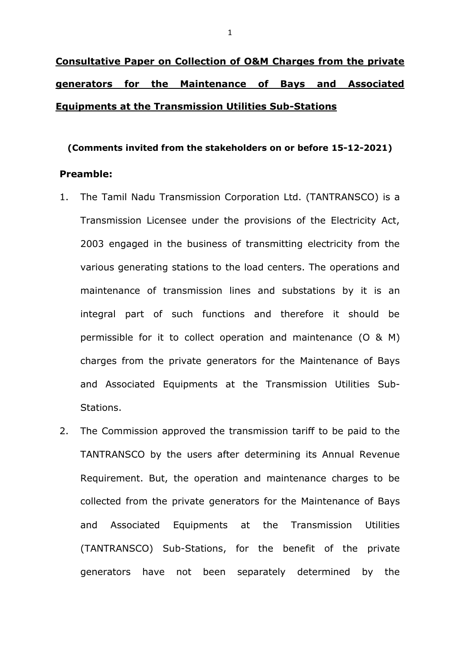# **Consultative Paper on Collection of O&M Charges from the private generators for the Maintenance of Bays and Associated Equipments at the Transmission Utilities Sub-Stations**

#### **(Comments invited from the stakeholders on or before 15-12-2021)**

### **Preamble:**

- 1. The Tamil Nadu Transmission Corporation Ltd. (TANTRANSCO) is a Transmission Licensee under the provisions of the Electricity Act, 2003 engaged in the business of transmitting electricity from the various generating stations to the load centers. The operations and maintenance of transmission lines and substations by it is an integral part of such functions and therefore it should be permissible for it to collect operation and maintenance (O & M) charges from the private generators for the Maintenance of Bays and Associated Equipments at the Transmission Utilities Sub-Stations.
- 2. The Commission approved the transmission tariff to be paid to the TANTRANSCO by the users after determining its Annual Revenue Requirement. But, the operation and maintenance charges to be collected from the private generators for the Maintenance of Bays and Associated Equipments at the Transmission Utilities (TANTRANSCO) Sub-Stations, for the benefit of the private generators have not been separately determined by the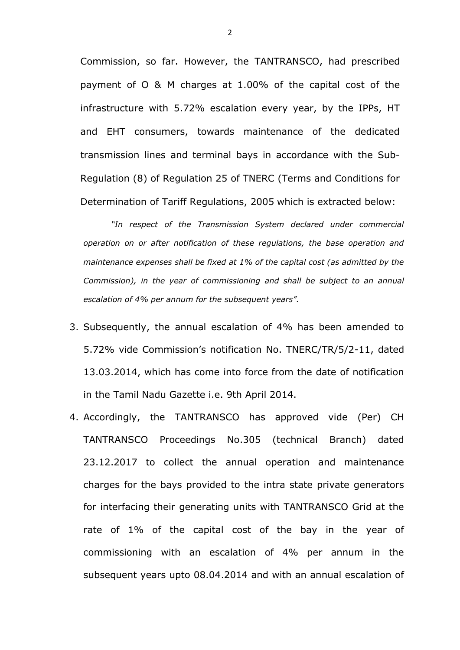Commission, so far. However, the TANTRANSCO, had prescribed payment of O & M charges at 1.00% of the capital cost of the infrastructure with 5.72% escalation every year, by the IPPs, HT and EHT consumers, towards maintenance of the dedicated transmission lines and terminal bays in accordance with the Sub-Regulation (8) of Regulation 25 of TNERC (Terms and Conditions for Determination of Tariff Regulations, 2005 which is extracted below:

*"In respect of the Transmission System declared under commercial operation on or after notification of these regulations, the base operation and maintenance expenses shall be fixed at 1% of the capital cost (as admitted by the Commission), in the year of commissioning and shall be subject to an annual escalation of 4% per annum for the subsequent years".* 

- 3. Subsequently, the annual escalation of 4% has been amended to 5.72% vide Commission's notification No. TNERC/TR/5/2-11, dated 13.03.2014, which has come into force from the date of notification in the Tamil Nadu Gazette i.e. 9th April 2014.
- 4. Accordingly, the TANTRANSCO has approved vide (Per) CH TANTRANSCO Proceedings No.305 (technical Branch) dated 23.12.2017 to collect the annual operation and maintenance charges for the bays provided to the intra state private generators for interfacing their generating units with TANTRANSCO Grid at the rate of 1% of the capital cost of the bay in the year of commissioning with an escalation of 4% per annum in the subsequent years upto 08.04.2014 and with an annual escalation of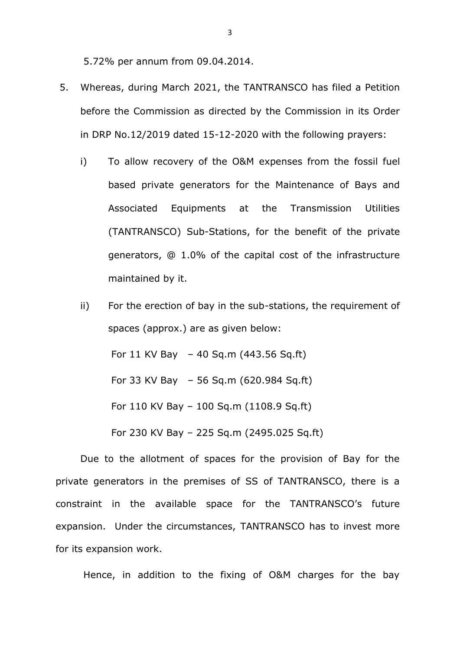5.72% per annum from 09.04.2014.

- 5. Whereas, during March 2021, the TANTRANSCO has filed a Petition before the Commission as directed by the Commission in its Order in DRP No.12/2019 dated 15-12-2020 with the following prayers:
	- i) To allow recovery of the O&M expenses from the fossil fuel based private generators for the Maintenance of Bays and Associated Equipments at the Transmission Utilities (TANTRANSCO) Sub-Stations, for the benefit of the private generators, @ 1.0% of the capital cost of the infrastructure maintained by it.
	- ii) For the erection of bay in the sub-stations, the requirement of spaces (approx.) are as given below: For 11 KV Bay – 40 Sq.m (443.56 Sq.ft) For 33 KV Bay – 56 Sq.m (620.984 Sq.ft) For 110 KV Bay – 100 Sq.m (1108.9 Sq.ft) For 230 KV Bay – 225 Sq.m (2495.025 Sq.ft)

Due to the allotment of spaces for the provision of Bay for the private generators in the premises of SS of TANTRANSCO, there is a constraint in the available space for the TANTRANSCO's future expansion. Under the circumstances, TANTRANSCO has to invest more for its expansion work.

Hence, in addition to the fixing of O&M charges for the bay

3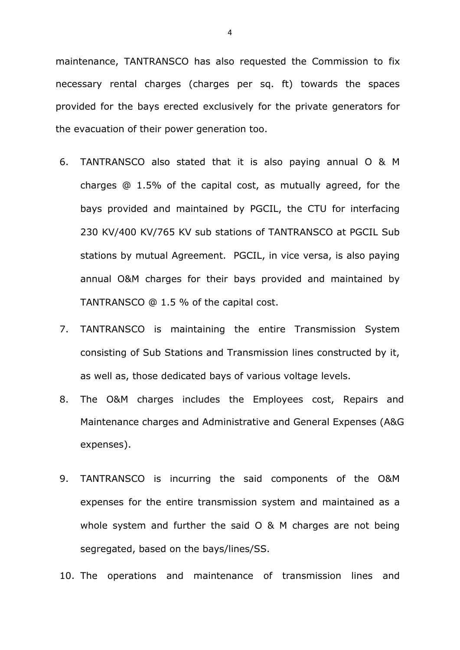maintenance, TANTRANSCO has also requested the Commission to fix necessary rental charges (charges per sq. ft) towards the spaces provided for the bays erected exclusively for the private generators for the evacuation of their power generation too.

- 6. TANTRANSCO also stated that it is also paying annual O & M charges @ 1.5% of the capital cost, as mutually agreed, for the bays provided and maintained by PGCIL, the CTU for interfacing 230 KV/400 KV/765 KV sub stations of TANTRANSCO at PGCIL Sub stations by mutual Agreement. PGCIL, in vice versa, is also paying annual O&M charges for their bays provided and maintained by TANTRANSCO @ 1.5 % of the capital cost.
- 7. TANTRANSCO is maintaining the entire Transmission System consisting of Sub Stations and Transmission lines constructed by it, as well as, those dedicated bays of various voltage levels.
- 8. The O&M charges includes the Employees cost, Repairs and Maintenance charges and Administrative and General Expenses (A&G expenses).
- 9. TANTRANSCO is incurring the said components of the O&M expenses for the entire transmission system and maintained as a whole system and further the said O & M charges are not being segregated, based on the bays/lines/SS.

10. The operations and maintenance of transmission lines and

4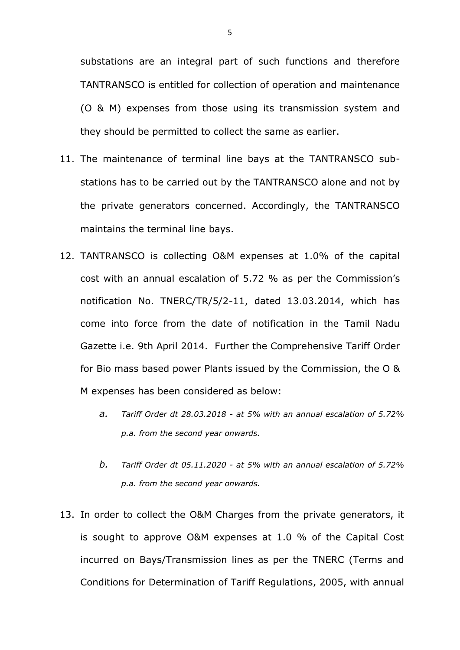substations are an integral part of such functions and therefore TANTRANSCO is entitled for collection of operation and maintenance (O & M) expenses from those using its transmission system and they should be permitted to collect the same as earlier.

- 11. The maintenance of terminal line bays at the TANTRANSCO substations has to be carried out by the TANTRANSCO alone and not by the private generators concerned. Accordingly, the TANTRANSCO maintains the terminal line bays.
- 12. TANTRANSCO is collecting O&M expenses at 1.0% of the capital cost with an annual escalation of 5.72 % as per the Commission's notification No. TNERC/TR/5/2-11, dated 13.03.2014, which has come into force from the date of notification in the Tamil Nadu Gazette i.e. 9th April 2014. Further the Comprehensive Tariff Order for Bio mass based power Plants issued by the Commission, the O & M expenses has been considered as below:
	- *a. Tariff Order dt 28.03.2018 - at 5% with an annual escalation of 5.72% p.a. from the second year onwards.*
	- *b. Tariff Order dt 05.11.2020 - at 5% with an annual escalation of 5.72% p.a. from the second year onwards.*
- 13. In order to collect the O&M Charges from the private generators, it is sought to approve O&M expenses at 1.0 % of the Capital Cost incurred on Bays/Transmission lines as per the TNERC (Terms and Conditions for Determination of Tariff Regulations, 2005, with annual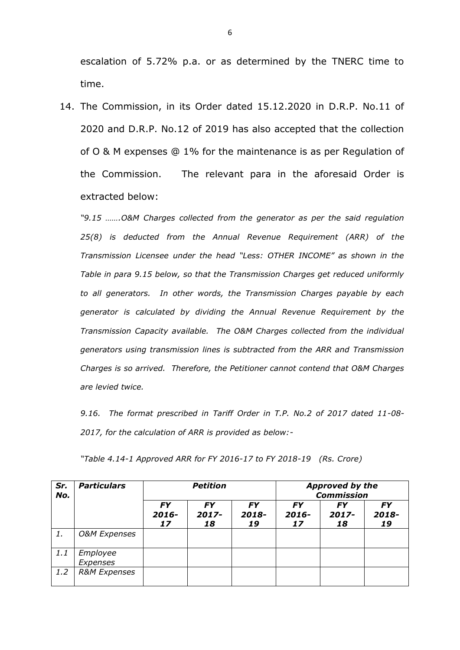escalation of 5.72% p.a. or as determined by the TNERC time to time.

14. The Commission, in its Order dated 15.12.2020 in D.R.P. No.11 of 2020 and D.R.P. No.12 of 2019 has also accepted that the collection of O & M expenses @ 1% for the maintenance is as per Regulation of the Commission. The relevant para in the aforesaid Order is extracted below:

*"9.15 …….O&M Charges collected from the generator as per the said regulation 25(8) is deducted from the Annual Revenue Requirement (ARR) of the Transmission Licensee under the head "Less: OTHER INCOME" as shown in the Table in para 9.15 below, so that the Transmission Charges get reduced uniformly to all generators. In other words, the Transmission Charges payable by each generator is calculated by dividing the Annual Revenue Requirement by the Transmission Capacity available. The O&M Charges collected from the individual generators using transmission lines is subtracted from the ARR and Transmission Charges is so arrived. Therefore, the Petitioner cannot contend that O&M Charges are levied twice.*

*9.16. The format prescribed in Tariff Order in T.P. No.2 of 2017 dated 11-08- 2017, for the calculation of ARR is provided as below:-*

| "Table 4.14-1 Approved ARR for FY 2016-17 to FY 2018-19 $(Rs.$ Crore) |  |
|-----------------------------------------------------------------------|--|
|                                                                       |  |

| Sr.<br>No. | <b>Particulars</b>      | <b>Petition</b>          |                             |                          | <b>Approved by the</b><br><b>Commission</b> |                          |                          |
|------------|-------------------------|--------------------------|-----------------------------|--------------------------|---------------------------------------------|--------------------------|--------------------------|
|            |                         | <b>FY</b><br>2016-<br>17 | <b>FY</b><br>$2017 -$<br>18 | <b>FY</b><br>2018-<br>19 | <b>FY</b><br>$2016 -$<br>17                 | <b>FY</b><br>2017-<br>18 | <b>FY</b><br>2018-<br>19 |
| 1.         | <b>O&amp;M</b> Expenses |                          |                             |                          |                                             |                          |                          |
| 1.1        | Employee<br>Expenses    |                          |                             |                          |                                             |                          |                          |
| 1.2        | <b>R&amp;M Expenses</b> |                          |                             |                          |                                             |                          |                          |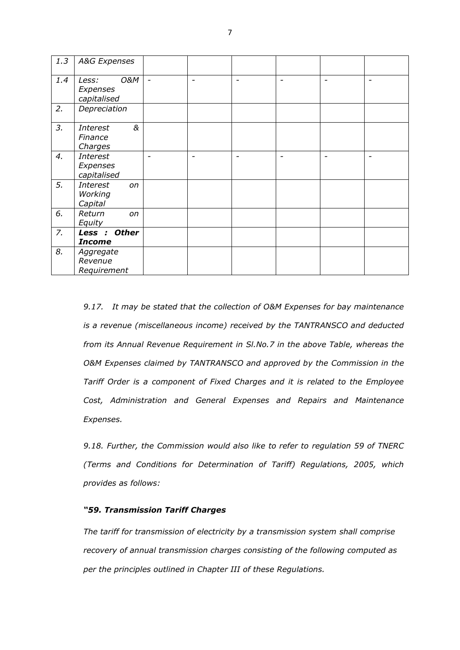| 1.3 | A&G Expenses                                |                          |                 |                          |                          |                          |                          |
|-----|---------------------------------------------|--------------------------|-----------------|--------------------------|--------------------------|--------------------------|--------------------------|
| 1.4 | 0&M<br>Less:<br>Expenses<br>capitalised     | $\blacksquare$           | $\qquad \qquad$ | $\overline{\phantom{0}}$ | $\overline{\phantom{0}}$ | $\overline{\phantom{0}}$ | $\overline{\phantom{0}}$ |
| 2.  | Depreciation                                |                          |                 |                          |                          |                          |                          |
| 3.  | &<br><b>Interest</b><br>Finance<br>Charges  |                          |                 |                          |                          |                          |                          |
| 4.  | <b>Interest</b><br>Expenses<br>capitalised  | $\overline{\phantom{0}}$ | -               |                          | $\overline{\phantom{a}}$ | $\overline{\phantom{0}}$ | -                        |
| 5.  | <b>Interest</b><br>on<br>Working<br>Capital |                          |                 |                          |                          |                          |                          |
| 6.  | Return<br>on<br>Equity                      |                          |                 |                          |                          |                          |                          |
| 7.  | Less : Other<br><b>Income</b>               |                          |                 |                          |                          |                          |                          |
| 8.  | Aggregate<br>Revenue<br>Requirement         |                          |                 |                          |                          |                          |                          |

*9.17. It may be stated that the collection of O&M Expenses for bay maintenance is a revenue (miscellaneous income) received by the TANTRANSCO and deducted from its Annual Revenue Requirement in Sl.No.7 in the above Table, whereas the O&M Expenses claimed by TANTRANSCO and approved by the Commission in the Tariff Order is a component of Fixed Charges and it is related to the Employee Cost, Administration and General Expenses and Repairs and Maintenance Expenses.*

*9.18. Further, the Commission would also like to refer to regulation 59 of TNERC (Terms and Conditions for Determination of Tariff) Regulations, 2005, which provides as follows:* 

#### *"59. Transmission Tariff Charges*

*The tariff for transmission of electricity by a transmission system shall comprise recovery of annual transmission charges consisting of the following computed as per the principles outlined in Chapter III of these Regulations.*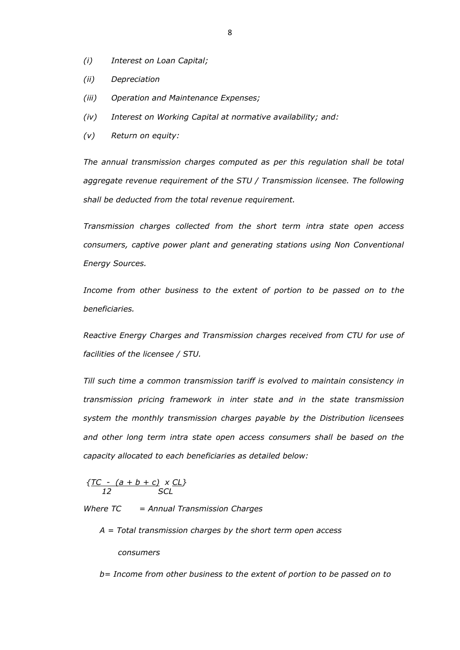- *(i) Interest on Loan Capital;*
- *(ii) Depreciation*
- *(iii) Operation and Maintenance Expenses;*
- *(iv) Interest on Working Capital at normative availability; and:*
- *(v) Return on equity:*

*The annual transmission charges computed as per this regulation shall be total aggregate revenue requirement of the STU / Transmission licensee. The following shall be deducted from the total revenue requirement.*

*Transmission charges collected from the short term intra state open access consumers, captive power plant and generating stations using Non Conventional Energy Sources.*

*Income from other business to the extent of portion to be passed on to the beneficiaries.*

*Reactive Energy Charges and Transmission charges received from CTU for use of facilities of the licensee / STU.*

*Till such time a common transmission tariff is evolved to maintain consistency in transmission pricing framework in inter state and in the state transmission system the monthly transmission charges payable by the Distribution licensees and other long term intra state open access consumers shall be based on the capacity allocated to each beneficiaries as detailed below:*

 *{TC - (a + b + c) x CL} 12 SCL*

*Where TC = Annual Transmission Charges*

 *A = Total transmission charges by the short term open access* 

 *consumers*

 *b= Income from other business to the extent of portion to be passed on to*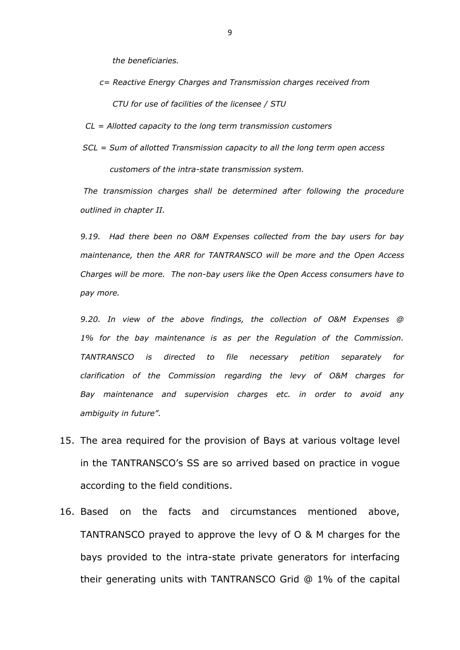*the beneficiaries.*

 *c= Reactive Energy Charges and Transmission charges received from CTU for use of facilities of the licensee / STU*

 *CL = Allotted capacity to the long term transmission customers*

 *SCL = Sum of allotted Transmission capacity to all the long term open access customers of the intra-state transmission system.*

*The transmission charges shall be determined after following the procedure outlined in chapter II.* 

*9.19. Had there been no O&M Expenses collected from the bay users for bay maintenance, then the ARR for TANTRANSCO will be more and the Open Access Charges will be more. The non-bay users like the Open Access consumers have to pay more.*

*9.20. In view of the above findings, the collection of O&M Expenses @ 1% for the bay maintenance is as per the Regulation of the Commission. TANTRANSCO is directed to file necessary petition separately for clarification of the Commission regarding the levy of O&M charges for Bay maintenance and supervision charges etc. in order to avoid any ambiguity in future".*

- 15. The area required for the provision of Bays at various voltage level in the TANTRANSCO's SS are so arrived based on practice in vogue according to the field conditions.
- 16. Based on the facts and circumstances mentioned above, TANTRANSCO prayed to approve the levy of O & M charges for the bays provided to the intra-state private generators for interfacing their generating units with TANTRANSCO Grid @ 1% of the capital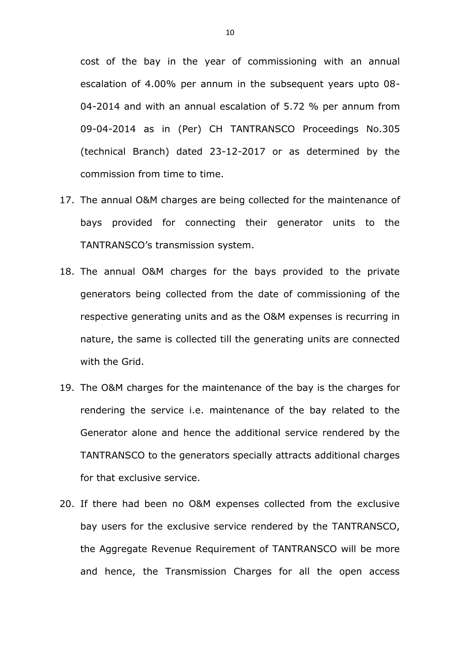cost of the bay in the year of commissioning with an annual escalation of 4.00% per annum in the subsequent years upto 08- 04-2014 and with an annual escalation of 5.72 % per annum from 09-04-2014 as in (Per) CH TANTRANSCO Proceedings No.305 (technical Branch) dated 23-12-2017 or as determined by the commission from time to time.

- 17. The annual O&M charges are being collected for the maintenance of bays provided for connecting their generator units to the TANTRANSCO's transmission system.
- 18. The annual O&M charges for the bays provided to the private generators being collected from the date of commissioning of the respective generating units and as the O&M expenses is recurring in nature, the same is collected till the generating units are connected with the Grid.
- 19. The O&M charges for the maintenance of the bay is the charges for rendering the service i.e. maintenance of the bay related to the Generator alone and hence the additional service rendered by the TANTRANSCO to the generators specially attracts additional charges for that exclusive service.
- 20. If there had been no O&M expenses collected from the exclusive bay users for the exclusive service rendered by the TANTRANSCO, the Aggregate Revenue Requirement of TANTRANSCO will be more and hence, the Transmission Charges for all the open access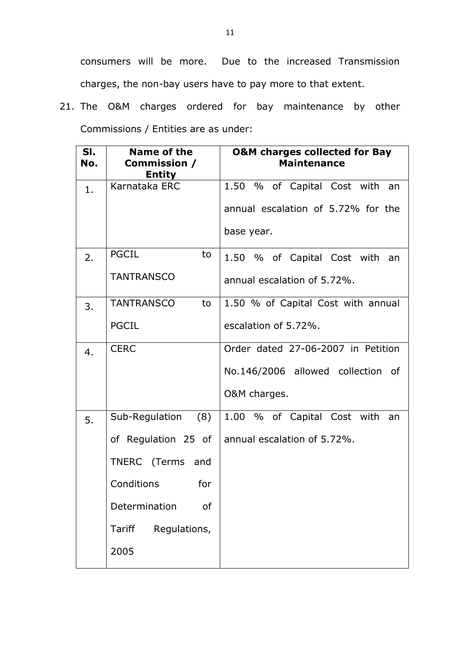consumers will be more. Due to the increased Transmission charges, the non-bay users have to pay more to that extent.

21. The O&M charges ordered for bay maintenance by other Commissions / Entities are as under:

| SI.<br>No. | <b>Name of the</b><br>Commission /<br><b>Entity</b> | <b>O&amp;M charges collected for Bay</b><br><b>Maintenance</b> |
|------------|-----------------------------------------------------|----------------------------------------------------------------|
| 1.         | Karnataka ERC                                       | 1.50 % of Capital Cost with an                                 |
|            |                                                     | annual escalation of 5.72% for the                             |
|            |                                                     | base year.                                                     |
| 2.         | <b>PGCIL</b><br>to                                  | 1.50 % of Capital Cost with an                                 |
|            | <b>TANTRANSCO</b>                                   | annual escalation of 5.72%.                                    |
| 3.         | <b>TANTRANSCO</b><br>to                             | 1.50 % of Capital Cost with annual                             |
|            | <b>PGCIL</b>                                        | escalation of 5.72%.                                           |
| 4.         | <b>CERC</b>                                         | Order dated 27-06-2007 in Petition                             |
|            |                                                     | No.146/2006 allowed collection of                              |
|            |                                                     | O&M charges.                                                   |
| 5.         | Sub-Regulation<br>(8)                               | 1.00 % of Capital Cost with<br>an                              |
|            | of Regulation 25 of                                 | annual escalation of 5.72%.                                    |
|            | TNERC (Terms and                                    |                                                                |
|            | Conditions<br>for                                   |                                                                |
|            | Determination<br>of                                 |                                                                |
|            | Tariff<br>Regulations,                              |                                                                |
|            | 2005                                                |                                                                |